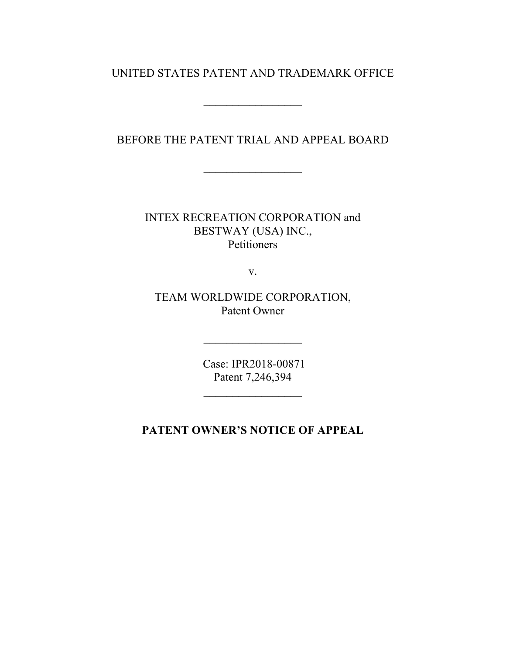## UNITED STATES PATENT AND TRADEMARK OFFICE

 $\mathcal{L}_\text{max}$ 

BEFORE THE PATENT TRIAL AND APPEAL BOARD

 $\mathcal{L}_\text{max}$  , where  $\mathcal{L}_\text{max}$ 

INTEX RECREATION CORPORATION and BESTWAY (USA) INC., Petitioners

v.

TEAM WORLDWIDE CORPORATION, Patent Owner

> Case: IPR2018-00871 Patent 7,246,394

 $\mathcal{L}_\text{max}$  , we have the set of the set of the set of the set of the set of the set of the set of the set of the set of the set of the set of the set of the set of the set of the set of the set of the set of the set of

**PATENT OWNER'S NOTICE OF APPEAL**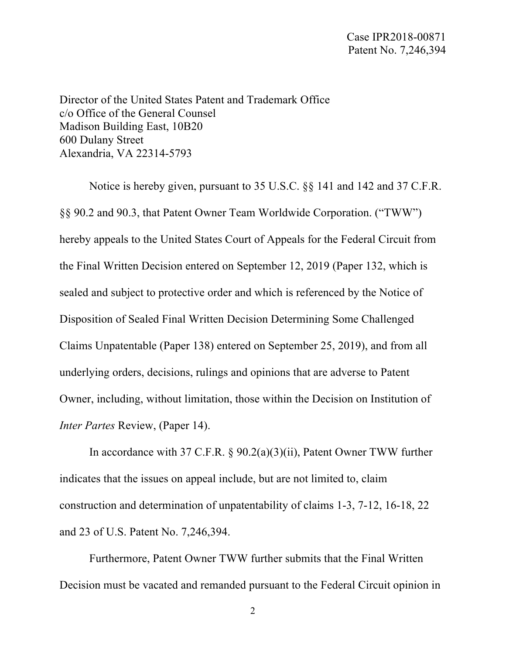Director of the United States Patent and Trademark Office c/o Office of the General Counsel Madison Building East, 10B20 600 Dulany Street Alexandria, VA 22314-5793

Notice is hereby given, pursuant to 35 U.S.C. §§ 141 and 142 and 37 C.F.R. §§ 90.2 and 90.3, that Patent Owner Team Worldwide Corporation. ("TWW") hereby appeals to the United States Court of Appeals for the Federal Circuit from the Final Written Decision entered on September 12, 2019 (Paper 132, which is sealed and subject to protective order and which is referenced by the Notice of Disposition of Sealed Final Written Decision Determining Some Challenged Claims Unpatentable (Paper 138) entered on September 25, 2019), and from all underlying orders, decisions, rulings and opinions that are adverse to Patent Owner, including, without limitation, those within the Decision on Institution of *Inter Partes* Review, (Paper 14).

In accordance with 37 C.F.R. § 90.2(a)(3)(ii), Patent Owner TWW further indicates that the issues on appeal include, but are not limited to, claim construction and determination of unpatentability of claims 1-3, 7-12, 16-18, 22 and 23 of U.S. Patent No. 7,246,394.

Furthermore, Patent Owner TWW further submits that the Final Written Decision must be vacated and remanded pursuant to the Federal Circuit opinion in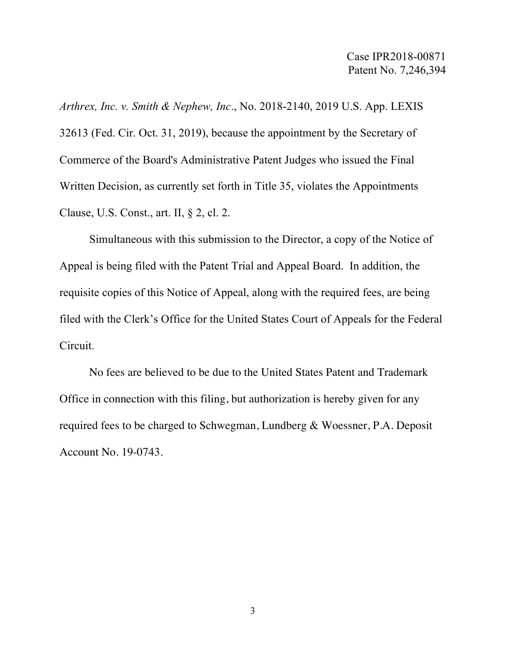*Arthrex, Inc. v. Smith & Nephew, Inc*., No. 2018-2140, 2019 U.S. App. LEXIS 32613 (Fed. Cir. Oct. 31, 2019), because the appointment by the Secretary of Commerce of the Board's Administrative Patent Judges who issued the Final Written Decision, as currently set forth in Title 35, violates the Appointments Clause, U.S. Const., art. II, § 2, cl. 2.

Simultaneous with this submission to the Director, a copy of the Notice of Appeal is being filed with the Patent Trial and Appeal Board. In addition, the requisite copies of this Notice of Appeal, along with the required fees, are being filed with the Clerk's Office for the United States Court of Appeals for the Federal Circuit.

No fees are believed to be due to the United States Patent and Trademark Office in connection with this filing, but authorization is hereby given for any required fees to be charged to Schwegman, Lundberg & Woessner, P.A. Deposit Account No. 19-0743.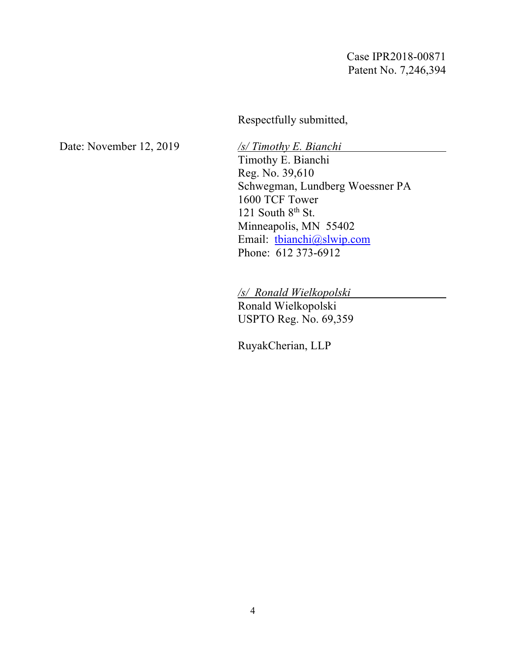Case IPR2018-00871 Patent No. 7,246,394

Respectfully submitted,

Date: November 12, 2019 */s/ Timothy E. Bianchi*

Timothy E. Bianchi Reg. No. 39,610 Schwegman, Lundberg Woessner PA 1600 TCF Tower 121 South  $8<sup>th</sup>$  St. Minneapolis, MN 55402 Email: tbianchi@slwip.com Phone: 612 373-6912

*/s/ Ronald Wielkopolski*

Ronald Wielkopolski USPTO Reg. No. 69,359

RuyakCherian, LLP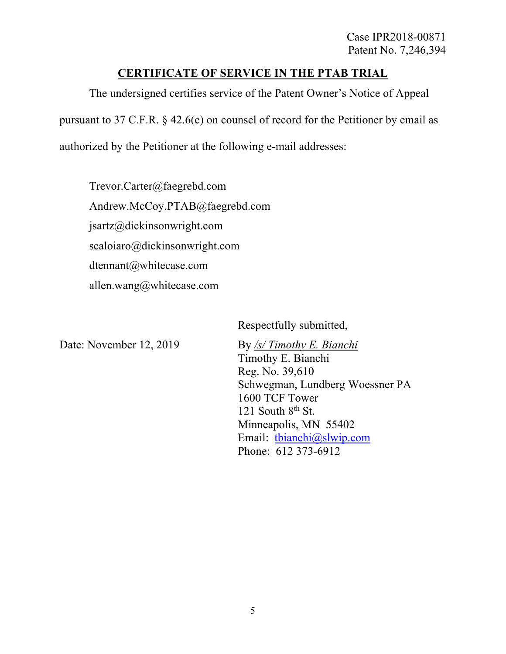## **CERTIFICATE OF SERVICE IN THE PTAB TRIAL**

The undersigned certifies service of the Patent Owner's Notice of Appeal pursuant to 37 C.F.R. § 42.6(e) on counsel of record for the Petitioner by email as

authorized by the Petitioner at the following e-mail addresses:

Trevor.Carter@faegrebd.com Andrew.McCoy.PTAB@faegrebd.com jsartz@dickinsonwright.com scaloiaro@dickinsonwright.com dtennant@whitecase.com allen.wang@whitecase.com

Respectfully submitted,

Date: November 12, 2019 By /s/ Timothy E. Bianchi Timothy E. Bianchi Reg. No. 39,610 Schwegman, Lundberg Woessner PA 1600 TCF Tower 121 South  $8<sup>th</sup>$  St. Minneapolis, MN 55402 Email: tbianchi@slwip.com Phone: 612 373-6912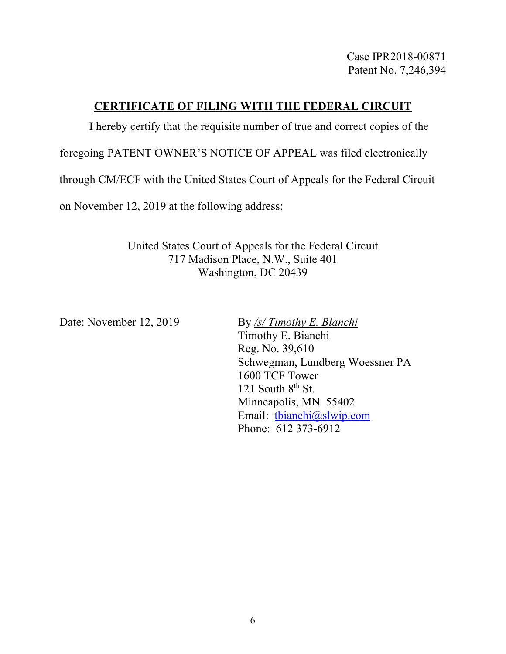Case IPR2018-00871 Patent No. 7,246,394

## **CERTIFICATE OF FILING WITH THE FEDERAL CIRCUIT**

I hereby certify that the requisite number of true and correct copies of the

foregoing PATENT OWNER'S NOTICE OF APPEAL was filed electronically

through CM/ECF with the United States Court of Appeals for the Federal Circuit

on November 12, 2019 at the following address:

United States Court of Appeals for the Federal Circuit 717 Madison Place, N.W., Suite 401 Washington, DC 20439

Date: November 12, 2019 By /s/ Timothy E. Bianchi

Timothy E. Bianchi Reg. No. 39,610 Schwegman, Lundberg Woessner PA 1600 TCF Tower 121 South  $8<sup>th</sup>$  St. Minneapolis, MN 55402 Email: tbianchi@slwip.com Phone: 612 373-6912